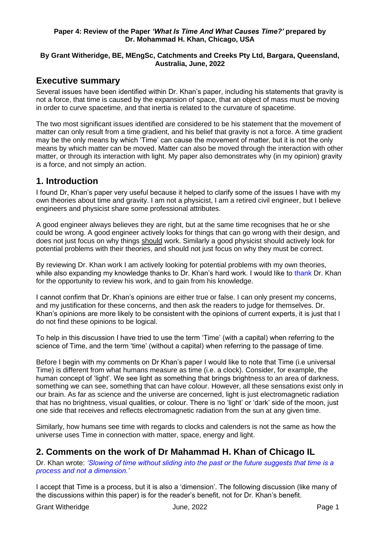#### **Paper 4: Review of the Paper** *'What Is Time And What Causes Time?'* **prepared by Dr. Mohammad H. Khan, Chicago, USA**

#### **By Grant Witheridge, BE, MEngSc, Catchments and Creeks Pty Ltd, Bargara, Queensland, Australia, June, 2022**

# **Executive summary**

Several issues have been identified within Dr. Khan's paper, including his statements that gravity is not a force, that time is caused by the expansion of space, that an object of mass must be moving in order to curve spacetime, and that inertia is related to the curvature of spacetime.

The two most significant issues identified are considered to be his statement that the movement of matter can only result from a time gradient, and his belief that gravity is not a force. A time gradient may be the only means by which 'Time' can cause the movement of matter, but it is not the only means by which matter can be moved. Matter can also be moved through the interaction with other matter, or through its interaction with light. My paper also demonstrates why (in my opinion) gravity is a force, and not simply an action.

# **1. Introduction**

I found Dr, Khan's paper very useful because it helped to clarify some of the issues I have with my own theories about time and gravity. I am not a physicist, I am a retired civil engineer, but I believe engineers and physicist share some professional attributes.

A good engineer always believes they are right, but at the same time recognises that he or she could be wrong. A good engineer actively looks for things that can go wrong with their design, and does not just focus on why things should work. Similarly a good physicist should actively look for potential problems with their theories, and should not just focus on why they must be correct.

By reviewing Dr. Khan work I am actively looking for potential problems with my own theories, while also expanding my knowledge thanks to Dr. Khan's hard work. I would like to thank Dr. Khan for the opportunity to review his work, and to gain from his knowledge.

I cannot confirm that Dr. Khan's opinions are either true or false. I can only present my concerns, and my justification for these concerns, and then ask the readers to judge for themselves. Dr. Khan's opinions are more likely to be consistent with the opinions of current experts, it is just that I do not find these opinions to be logical.

To help in this discussion I have tried to use the term 'Time' (with a capital) when referring to the science of Time, and the term 'time' (without a capital) when referring to the passage of time.

Before I begin with my comments on Dr Khan's paper I would like to note that Time (i.e universal Time) is different from what humans measure as time (i.e. a clock). Consider, for example, the human concept of 'light'. We see light as something that brings brightness to an area of darkness, something we can see, something that can have colour. However, all these sensations exist only in our brain. As far as science and the universe are concerned, light is just electromagnetic radiation that has no brightness, visual qualities, or colour. There is no 'light' or 'dark' side of the moon, just one side that receives and reflects electromagnetic radiation from the sun at any given time.

Similarly, how humans see time with regards to clocks and calenders is not the same as how the universe uses Time in connection with matter, space, energy and light.

# **2. Comments on the work of Dr Mahammad H. Khan of Chicago IL**

Dr. Khan wrote: *'Slowing of time without sliding into the past or the future suggests that time is a process and not a dimension.'*

I accept that Time is a process, but it is also a 'dimension'. The following discussion (like many of the discussions within this paper) is for the reader's benefit, not for Dr. Khan's benefit.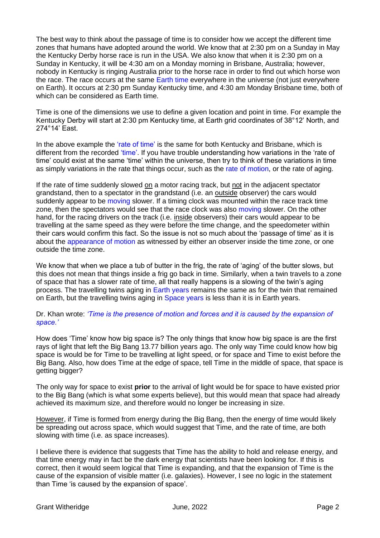The best way to think about the passage of time is to consider how we accept the different time zones that humans have adopted around the world. We know that at 2:30 pm on a Sunday in May the Kentucky Derby horse race is run in the USA. We also know that when it is 2:30 pm on a Sunday in Kentucky, it will be 4:30 am on a Monday morning in Brisbane, Australia; however, nobody in Kentucky is ringing Australia prior to the horse race in order to find out which horse won the race. The race occurs at the same Earth time everywhere in the universe (not just everywhere on Earth). It occurs at 2:30 pm Sunday Kentucky time, and 4:30 am Monday Brisbane time, both of which can be considered as Earth time.

Time is one of the dimensions we use to define a given location and point in time. For example the Kentucky Derby will start at 2:30 pm Kentucky time, at Earth grid coordinates of 38°12' North, and 274°14' East.

In the above example the 'rate of time' is the same for both Kentucky and Brisbane, which is different from the recorded 'time'. If you have trouble understanding how variations in the 'rate of time' could exist at the same 'time' within the universe, then try to think of these variations in time as simply variations in the rate that things occur, such as the rate of motion, or the rate of aging.

If the rate of time suddenly slowed  $on$  a motor racing track, but not in the adjacent spectator</u> grandstand, then to a spectator in the grandstand (i.e. an outside observer) the cars would suddenly appear to be moving slower. If a timing clock was mounted within the race track time zone, then the spectators would see that the race clock was also moving slower. On the other hand, for the racing drivers on the track (i.e. inside observers) their cars would appear to be travelling at the same speed as they were before the time change, and the speedometer within their cars would confirm this fact. So the issue is not so much about the 'passage of time' as it is about the appearance of motion as witnessed by either an observer inside the time zone, or one outside the time zone.

We know that when we place a tub of butter in the frig, the rate of 'aging' of the butter slows, but this does not mean that things inside a frig go back in time. Similarly, when a twin travels to a zone of space that has a slower rate of time, all that really happens is a slowing of the twin's aging process. The travelling twins aging in Earth years remains the same as for the twin that remained on Earth, but the travelling twins aging in Space years is less than it is in Earth years.

#### Dr. Khan wrote: *'Time is the presence of motion and forces and it is caused by the expansion of space.'*

How does 'Time' know how big space is? The only things that know how big space is are the first rays of light that left the Big Bang 13.77 billion years ago. The only way Time could know how big space is would be for Time to be travelling at light speed, or for space and Time to exist before the Big Bang. Also, how does Time at the edge of space, tell Time in the middle of space, that space is getting bigger?

The only way for space to exist **prior** to the arrival of light would be for space to have existed prior to the Big Bang (which is what some experts believe), but this would mean that space had already achieved its maximum size, and therefore would no longer be increasing in size.

However, if Time is formed from energy during the Big Bang, then the energy of time would likely be spreading out across space, which would suggest that Time, and the rate of time, are both slowing with time (i.e. as space increases).

I believe there is evidence that suggests that Time has the ability to hold and release energy, and that time energy may in fact be the dark energy that scientists have been looking for. If this is correct, then it would seem logical that Time is expanding, and that the expansion of Time is the cause of the expansion of visible matter (i.e. galaxies). However, I see no logic in the statement than Time 'is caused by the expansion of space'.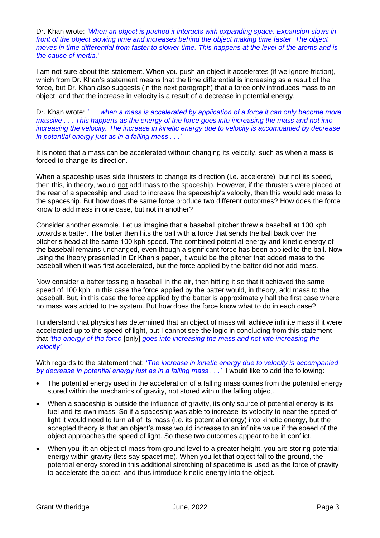Dr. Khan wrote: *'When an object is pushed it interacts with expanding space. Expansion slows in front of the object slowing time and increases behind the object making time faster. The object moves in time differential from faster to slower time. This happens at the level of the atoms and is the cause of inertia.'*

I am not sure about this statement. When you push an object it accelerates (if we ignore friction), which from Dr. Khan's statement means that the time differential is increasing as a result of the force, but Dr. Khan also suggests (in the next paragraph) that a force only introduces mass to an object, and that the increase in velocity is a result of a decrease in potential energy.

Dr. Khan wrote: *'. . . when a mass is accelerated by application of a force it can only become more massive . . . This happens as the energy of the force goes into increasing the mass and not into increasing the velocity. The increase in kinetic energy due to velocity is accompanied by decrease in potential energy just as in a falling mass . . .'*

It is noted that a mass can be accelerated without changing its velocity, such as when a mass is forced to change its direction.

When a spaceship uses side thrusters to change its direction (i.e. accelerate), but not its speed, then this, in theory, would not add mass to the spaceship. However, if the thrusters were placed at the rear of a spaceship and used to increase the spaceship's velocity, then this would add mass to the spaceship. But how does the same force produce two different outcomes? How does the force know to add mass in one case, but not in another?

Consider another example. Let us imagine that a baseball pitcher threw a baseball at 100 kph towards a batter. The batter then hits the ball with a force that sends the ball back over the pitcher's head at the same 100 kph speed. The combined potential energy and kinetic energy of the baseball remains unchanged, even though a significant force has been applied to the ball. Now using the theory presented in Dr Khan's paper, it would be the pitcher that added mass to the baseball when it was first accelerated, but the force applied by the batter did not add mass.

Now consider a batter tossing a baseball in the air, then hitting it so that it achieved the same speed of 100 kph. In this case the force applied by the batter would, in theory, add mass to the baseball. But, in this case the force applied by the batter is approximately half the first case where no mass was added to the system. But how does the force know what to do in each case?

I understand that physics has determined that an object of mass will achieve infinite mass if it were accelerated up to the speed of light, but I cannot see the logic in concluding from this statement that *'the energy of the force* [only] *goes into increasing the mass and not into increasing the velocity'.*

With regards to the statement that: '*The increase in kinetic energy due to velocity is accompanied by decrease in potential energy just as in a falling mass . . .'* I would like to add the following:

- The potential energy used in the acceleration of a falling mass comes from the potential energy stored within the mechanics of gravity, not stored within the falling object.
- When a spaceship is outside the influence of gravity, its only source of potential energy is its fuel and its own mass. So if a spaceship was able to increase its velocity to near the speed of light it would need to turn all of its mass (i.e. its potential energy) into kinetic energy, but the accepted theory is that an object's mass would increase to an infinite value if the speed of the object approaches the speed of light. So these two outcomes appear to be in conflict.
- When you lift an object of mass from ground level to a greater height, you are storing potential energy within gravity (lets say spacetime). When you let that object fall to the ground, the potential energy stored in this additional stretching of spacetime is used as the force of gravity to accelerate the object, and thus introduce kinetic energy into the object.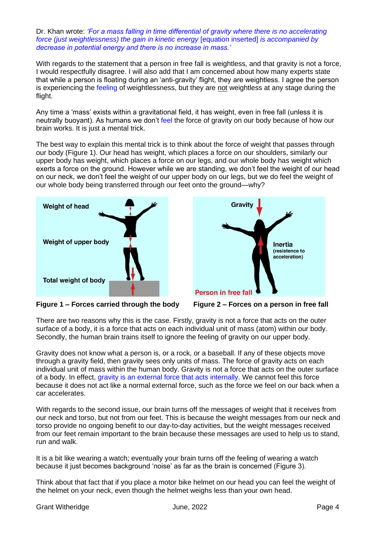Dr. Khan wrote: *'For a mass falling in time differential of gravity where there is no accelerating force (just weightlessness) the gain in kinetic energy* [equation inserted] *is accompanied by decrease in potential energy and there is no increase in mass.'*

With regards to the statement that a person in free fall is weightless, and that gravity is not a force, I would respectfully disagree. I will also add that I am concerned about how many experts state that while a person is floating during an 'anti-gravity' flight, they are weightless. I agree the person is experiencing the feeling of weightlessness, but they are not weightless at any stage during the flight.

Any time a 'mass' exists within a gravitational field, it has weight, even in free fall (unless it is neutrally buoyant). As humans we don't feel the force of gravity on our body because of how our brain works. It is just a mental trick.

The best way to explain this mental trick is to think about the force of weight that passes through our body (Figure 1). Our head has weight, which places a force on our shoulders, similarly our upper body has weight, which places a force on our legs, and our whole body has weight which exerts a force on the ground. However while we are standing, we don't feel the weight of our head on our neck, we don't feel the weight of our upper body on our legs, but we do feel the weight of our whole body being transferred through our feet onto the ground—why?



**Figure 1 – Forces carried through the body Figure 2 – Forces on a person in free fall**



There are two reasons why this is the case. Firstly, gravity is not a force that acts on the outer surface of a body, it is a force that acts on each individual unit of mass (atom) within our body. Secondly, the human brain trains itself to ignore the feeling of gravity on our upper body.

Gravity does not know what a person is, or a rock, or a baseball. If any of these objects move through a gravity field, then gravity sees only units of mass. The force of gravity acts on each individual unit of mass within the human body. Gravity is not a force that acts on the outer surface of a body. In effect, gravity is an external force that acts internally. We cannot feel this force because it does not act like a normal external force, such as the force we feel on our back when a car accelerates.

With regards to the second issue, our brain turns off the messages of weight that it receives from our neck and torso, but not from our feet. This is because the weight messages from our neck and torso provide no ongoing benefit to our day-to-day activities, but the weight messages received from our feet remain important to the brain because these messages are used to help us to stand, run and walk.

It is a bit like wearing a watch; eventually your brain turns off the feeling of wearing a watch because it just becomes background 'noise' as far as the brain is concerned (Figure 3).

Think about that fact that if you place a motor bike helmet on our head you can feel the weight of the helmet on your neck, even though the helmet weighs less than your own head.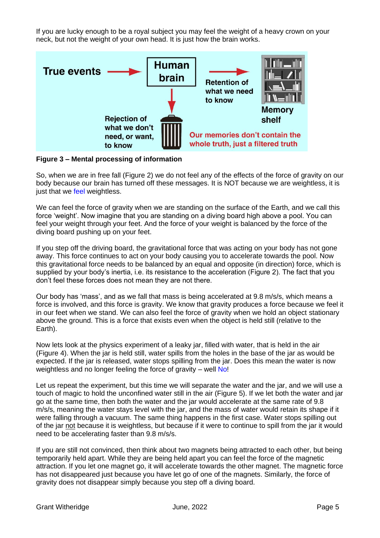If you are lucky enough to be a royal subject you may feel the weight of a heavy crown on your neck, but not the weight of your own head. It is just how the brain works.



**Figure 3 – Mental processing of information** 

So, when we are in free fall (Figure 2) we do not feel any of the effects of the force of gravity on our body because our brain has turned off these messages. It is NOT because we are weightless, it is just that we feel weightless.

We can feel the force of gravity when we are standing on the surface of the Earth, and we call this force 'weight'. Now imagine that you are standing on a diving board high above a pool. You can feel your weight through your feet. And the force of your weight is balanced by the force of the diving board pushing up on your feet.

If you step off the driving board, the gravitational force that was acting on your body has not gone away. This force continues to act on your body causing you to accelerate towards the pool. Now this gravitational force needs to be balanced by an equal and opposite (in direction) force, which is supplied by your body's inertia, i.e. its resistance to the acceleration (Figure 2). The fact that you don't feel these forces does not mean they are not there.

Our body has 'mass', and as we fall that mass is being accelerated at 9.8 m/s/s, which means a force is involved, and this force is gravity. We know that gravity produces a force because we feel it in our feet when we stand. We can also feel the force of gravity when we hold an object stationary above the ground. This is a force that exists even when the object is held still (relative to the Earth).

Now lets look at the physics experiment of a leaky jar, filled with water, that is held in the air (Figure 4). When the jar is held still, water spills from the holes in the base of the jar as would be expected. If the jar is released, water stops spilling from the jar. Does this mean the water is now weightless and no longer feeling the force of gravity – well No!

Let us repeat the experiment, but this time we will separate the water and the jar, and we will use a touch of magic to hold the unconfined water still in the air (Figure 5). If we let both the water and jar go at the same time, then both the water and the jar would accelerate at the same rate of 9.8 m/s/s, meaning the water stays level with the jar, and the mass of water would retain its shape if it were falling through a vacuum. The same thing happens in the first case. Water stops spilling out of the jar not because it is weightless, but because if it were to continue to spill from the jar it would need to be accelerating faster than 9.8 m/s/s.

If you are still not convinced, then think about two magnets being attracted to each other, but being temporarily held apart. While they are being held apart you can feel the force of the magnetic attraction. If you let one magnet go, it will accelerate towards the other magnet. The magnetic force has not disappeared just because you have let go of one of the magnets. Similarly, the force of gravity does not disappear simply because you step off a diving board.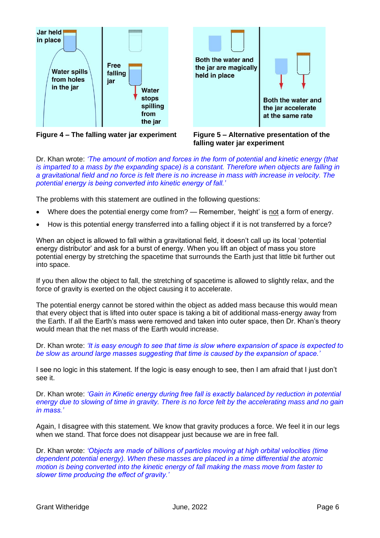

Both the water and the jar are magically held in place Both the water and the jar accelerate at the same rate

**Figure 4 – The falling water jar experiment Figure 5 – Alternative presentation of the** 



Dr. Khan wrote: *'The amount of motion and forces in the form of potential and kinetic energy (that is imparted to a mass by the expanding space) is a constant. Therefore when objects are falling in a gravitational field and no force is felt there is no increase in mass with increase in velocity. The potential energy is being converted into kinetic energy of fall.'*

The problems with this statement are outlined in the following questions:

- Where does the potential energy come from? Remember, 'height' is not a form of energy.
- How is this potential energy transferred into a falling object if it is not transferred by a force?

When an object is allowed to fall within a gravitational field, it doesn't call up its local 'potential energy distributor' and ask for a burst of energy. When you lift an object of mass you store potential energy by stretching the spacetime that surrounds the Earth just that little bit further out into space.

If you then allow the object to fall, the stretching of spacetime is allowed to slightly relax, and the force of gravity is exerted on the object causing it to accelerate.

The potential energy cannot be stored within the object as added mass because this would mean that every object that is lifted into outer space is taking a bit of additional mass-energy away from the Earth. If all the Earth's mass were removed and taken into outer space, then Dr. Khan's theory would mean that the net mass of the Earth would increase.

Dr. Khan wrote: *'It is easy enough to see that time is slow where expansion of space is expected to be slow as around large masses suggesting that time is caused by the expansion of space.'*

I see no logic in this statement. If the logic is easy enough to see, then I am afraid that I just don't see it.

Dr. Khan wrote: *'Gain in Kinetic energy during free fall is exactly balanced by reduction in potential energy due to slowing of time in gravity. There is no force felt by the accelerating mass and no gain in mass.'*

Again, I disagree with this statement. We know that gravity produces a force. We feel it in our legs when we stand. That force does not disappear just because we are in free fall.

Dr. Khan wrote: *'Objects are made of billions of particles moving at high orbital velocities (time dependent potential energy). When these masses are placed in a time differential the atomic motion is being converted into the kinetic energy of fall making the mass move from faster to slower time producing the effect of gravity.'*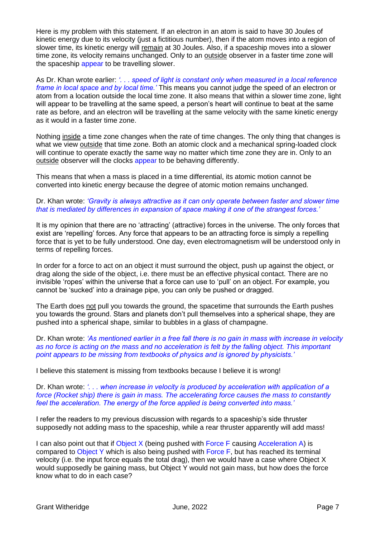Here is my problem with this statement. If an electron in an atom is said to have 30 Joules of kinetic energy due to its velocity (just a fictitious number), then if the atom moves into a region of slower time, its kinetic energy will remain at 30 Joules. Also, if a spaceship moves into a slower time zone, its velocity remains unchanged. Only to an outside observer in a faster time zone will the spaceship appear to be travelling slower.

As Dr. Khan wrote earlier: *'. . . speed of light is constant only when measured in a local reference frame in local space and by local time.'* This means you cannot judge the speed of an electron or atom from a location outside the local time zone. It also means that within a slower time zone, light will appear to be travelling at the same speed, a person's heart will continue to beat at the same rate as before, and an electron will be travelling at the same velocity with the same kinetic energy as it would in a faster time zone.

Nothing inside a time zone changes when the rate of time changes. The only thing that changes is what we view outside that time zone. Both an atomic clock and a mechanical spring-loaded clock will continue to operate exactly the same way no matter which time zone they are in. Only to an outside observer will the clocks appear to be behaving differently.

This means that when a mass is placed in a time differential, its atomic motion cannot be converted into kinetic energy because the degree of atomic motion remains unchanged.

#### Dr. Khan wrote: *'Gravity is always attractive as it can only operate between faster and slower time that is mediated by differences in expansion of space making it one of the strangest forces.'*

It is my opinion that there are no 'attracting' (attractive) forces in the universe. The only forces that exist are 'repelling' forces. Any force that appears to be an attracting force is simply a repelling force that is yet to be fully understood. One day, even electromagnetism will be understood only in terms of repelling forces.

In order for a force to act on an object it must surround the object, push up against the object, or drag along the side of the object, i.e. there must be an effective physical contact. There are no invisible 'ropes' within the universe that a force can use to 'pull' on an object. For example, you cannot be 'sucked' into a drainage pipe, you can only be pushed or dragged.

The Earth does not pull you towards the ground, the spacetime that surrounds the Earth pushes you towards the ground. Stars and planets don't pull themselves into a spherical shape, they are pushed into a spherical shape, similar to bubbles in a glass of champagne.

Dr. Khan wrote: *'As mentioned earlier in a free fall there is no gain in mass with increase in velocity as no force is acting on the mass and no acceleration is felt by the falling object. This important point appears to be missing from textbooks of physics and is ignored by physicists.'*

I believe this statement is missing from textbooks because I believe it is wrong!

Dr. Khan wrote: *'. . . when increase in velocity is produced by acceleration with application of a force (Rocket ship) there is gain in mass. The accelerating force causes the mass to constantly feel the acceleration. The energy of the force applied is being converted into mass.'*

I refer the readers to my previous discussion with regards to a spaceship's side thruster supposedly not adding mass to the spaceship, while a rear thruster apparently will add mass!

I can also point out that if Object X (being pushed with Force F causing Acceleration A) is compared to Object Y which is also being pushed with Force F, but has reached its terminal velocity (i.e. the input force equals the total drag), then we would have a case where Object X would supposedly be gaining mass, but Object Y would not gain mass, but how does the force know what to do in each case?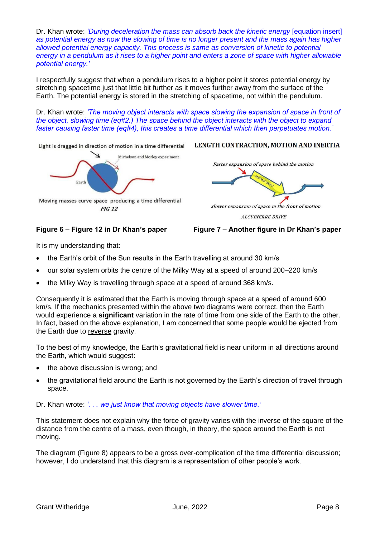Dr. Khan wrote: *'During deceleration the mass can absorb back the kinetic energy* [equation insert] *as potential energy as now the slowing of time is no longer present and the mass again has higher allowed potential energy capacity. This process is same as conversion of kinetic to potential energy in a pendulum as it rises to a higher point and enters a zone of space with higher allowable potential energy.'*

I respectfully suggest that when a pendulum rises to a higher point it stores potential energy by stretching spacetime just that little bit further as it moves further away from the surface of the Earth. The potential energy is stored in the stretching of spacetime, not within the pendulum.

Dr. Khan wrote: *'The moving object interacts with space slowing the expansion of space in front of the object, slowing time (eq#2.) The space behind the object interacts with the object to expand faster causing faster time (eq#4), this creates a time differential which then perpetuates motion.'*

Light is dragged in direction of motion in a time differential



#### LENGTH CONTRACTION, MOTION AND INERTIA

Faster expansion of space behind the motion

Slower expansion of space in the front of motion **ALCUBIERRE DRIVE** 

**Figure 6 – Figure 12 in Dr Khan's paper Figure 7 – Another figure in Dr Khan's paper**

It is my understanding that:

- the Earth's orbit of the Sun results in the Earth travelling at around 30 km/s
- our solar system orbits the centre of the Milky Way at a speed of around 200–220 km/s
- the Milky Way is travelling through space at a speed of around 368 km/s.

Consequently it is estimated that the Earth is moving through space at a speed of around 600 km/s. If the mechanics presented within the above two diagrams were correct, then the Earth would experience a **significant** variation in the rate of time from one side of the Earth to the other. In fact, based on the above explanation, I am concerned that some people would be ejected from the Earth due to reverse gravity.

To the best of my knowledge, the Earth's gravitational field is near uniform in all directions around the Earth, which would suggest:

- the above discussion is wrong; and
- the gravitational field around the Earth is not governed by the Earth's direction of travel through space.

Dr. Khan wrote: *'. . . we just know that moving objects have slower time.'*

This statement does not explain why the force of gravity varies with the inverse of the square of the distance from the centre of a mass, even though, in theory, the space around the Earth is not moving.

The diagram (Figure 8) appears to be a gross over-complication of the time differential discussion; however, I do understand that this diagram is a representation of other people's work.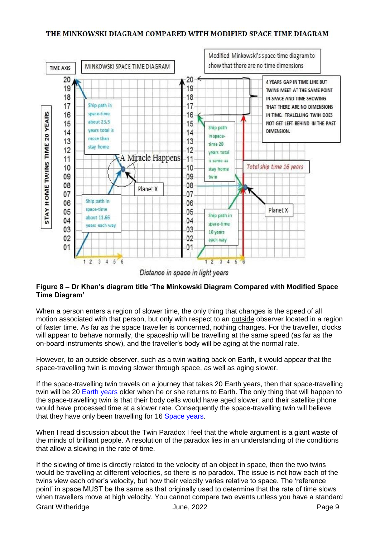### THE MINKOWSKI DIAGRAM COMPARED WITH MODIFIED SPACE TIME DIAGRAM



Distance in space in light years

## **Figure 8 – Dr Khan's diagram title 'The Minkowski Diagram Compared with Modified Space Time Diagram'**

When a person enters a region of slower time, the only thing that changes is the speed of all motion associated with that person, but only with respect to an outside observer located in a region of faster time. As far as the space traveller is concerned, nothing changes. For the traveller, clocks will appear to behave normally, the spaceship will be travelling at the same speed (as far as the on-board instruments show), and the traveller's body will be aging at the normal rate.

However, to an outside observer, such as a twin waiting back on Earth, it would appear that the space-travelling twin is moving slower through space, as well as aging slower.

If the space-travelling twin travels on a journey that takes 20 Earth years, then that space-travelling twin will be 20 Earth years older when he or she returns to Earth. The only thing that will happen to the space-travelling twin is that their body cells would have aged slower, and their satellite phone would have processed time at a slower rate. Consequently the space-travelling twin will believe that they have only been travelling for 16 Space years.

When I read discussion about the Twin Paradox I feel that the whole argument is a giant waste of the minds of brilliant people. A resolution of the paradox lies in an understanding of the conditions that allow a slowing in the rate of time.

Grant Witheridge **Contract Contract Contract Contract Contract Contract Contract Contract Contract Contract Contract Contract Contract Contract Contract Contract Contract Contract Contract Contract Contract Contract Contra** If the slowing of time is directly related to the velocity of an object in space, then the two twins would be travelling at different velocities, so there is no paradox. The issue is not how each of the twins view each other's velocity, but how their velocity varies relative to space. The 'reference point' in space MUST be the same as that originally used to determine that the rate of time slows when travellers move at high velocity. You cannot compare two events unless you have a standard